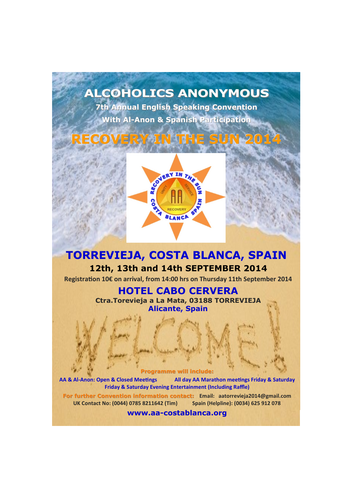## **ALCOHOLICS ANONYMOUS**

**7th Annual English Speaking Convention With Al-Anon & Spanish Participation**

# **RECOVERY IN THE SUN 2014**



## **TORREVIEJA, COSTA BLANCA, SPAIN 12th, 13th and 14th SEPTEMBER 2014**

**Registration 10€ on arrival, from 14:00 hrs on Thursday 11th September 2014**

### **HOTEL CABO CERVERA**

**Ctra.Torevieja a La Mata, 03188 TORREVIEJA Alicante, Spain**

#### **Programme will include:**

**AA & Al-Anon: Open & Closed Meetings All day AA Marathon meetings Friday & Saturday Friday & Saturday Evening Entertainment (Including Raffle)**

**For further Convention information contact: Email: aatorrevieja2014@gmail.com UK Contact No: (0044) 0785 8211642 (Tim) Spain (Helpline): (0034) 625 912 078**

**www.aa-costablanca.org**